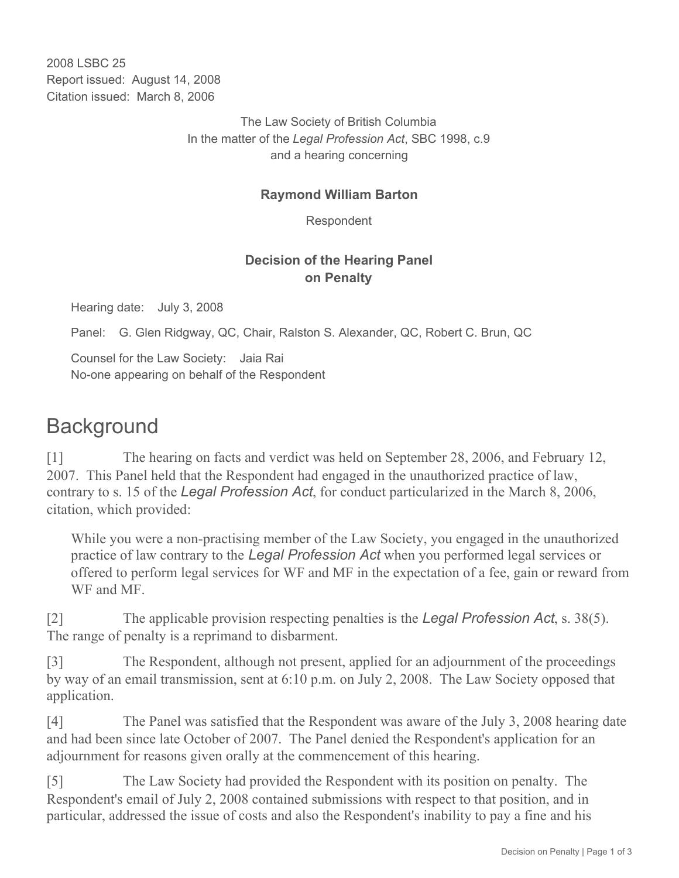2008 LSBC 25 Report issued: August 14, 2008 Citation issued: March 8, 2006

> The Law Society of British Columbia In the matter of the *Legal Profession Act*, SBC 1998, c.9 and a hearing concerning

#### **Raymond William Barton**

Respondent

### **Decision of the Hearing Panel on Penalty**

Hearing date: July 3, 2008

Panel: G. Glen Ridgway, QC, Chair, Ralston S. Alexander, QC, Robert C. Brun, QC

Counsel for the Law Society: Jaia Rai No-one appearing on behalf of the Respondent

# **Background**

[1] The hearing on facts and verdict was held on September 28, 2006, and February 12, 2007. This Panel held that the Respondent had engaged in the unauthorized practice of law, contrary to s. 15 of the *Legal Profession Act*, for conduct particularized in the March 8, 2006, citation, which provided:

While you were a non-practising member of the Law Society, you engaged in the unauthorized practice of law contrary to the *Legal Profession Act* when you performed legal services or offered to perform legal services for WF and MF in the expectation of a fee, gain or reward from WF and MF.

[2] The applicable provision respecting penalties is the *Legal Profession Act*, s. 38(5). The range of penalty is a reprimand to disbarment.

[3] The Respondent, although not present, applied for an adjournment of the proceedings by way of an email transmission, sent at 6:10 p.m. on July 2, 2008. The Law Society opposed that application.

[4] The Panel was satisfied that the Respondent was aware of the July 3, 2008 hearing date and had been since late October of 2007. The Panel denied the Respondent's application for an adjournment for reasons given orally at the commencement of this hearing.

[5] The Law Society had provided the Respondent with its position on penalty. The Respondent's email of July 2, 2008 contained submissions with respect to that position, and in particular, addressed the issue of costs and also the Respondent's inability to pay a fine and his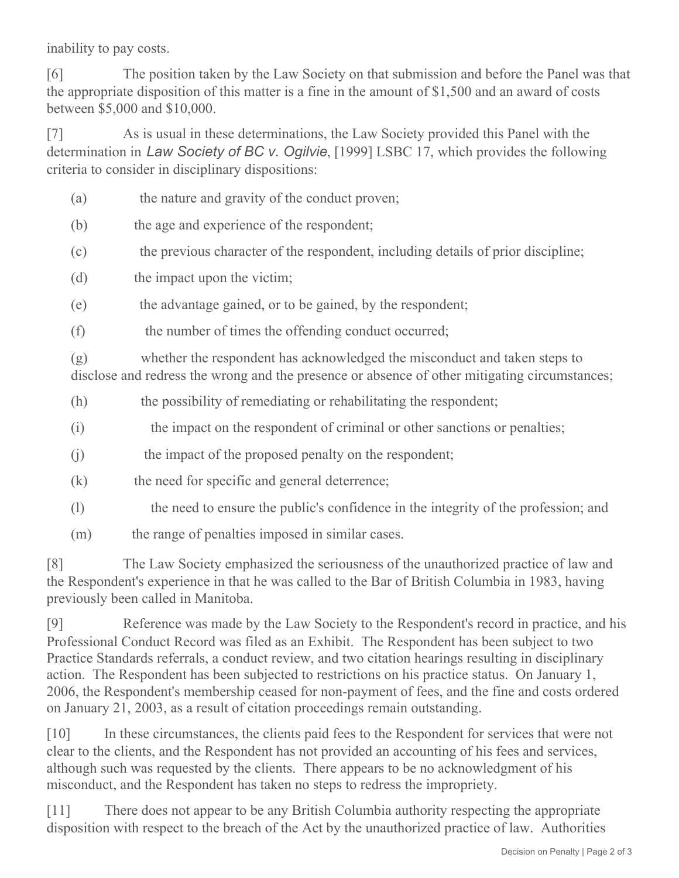inability to pay costs.

[6] The position taken by the Law Society on that submission and before the Panel was that the appropriate disposition of this matter is a fine in the amount of \$1,500 and an award of costs between \$5,000 and \$10,000.

[7] As is usual in these determinations, the Law Society provided this Panel with the determination in *Law Society of BC v. Ogilvie*, [1999] LSBC 17, which provides the following criteria to consider in disciplinary dispositions:

- (a) the nature and gravity of the conduct proven;
- (b) the age and experience of the respondent;
- (c) the previous character of the respondent, including details of prior discipline;
- (d) the impact upon the victim;
- (e) the advantage gained, or to be gained, by the respondent;
- (f) the number of times the offending conduct occurred;

(g) whether the respondent has acknowledged the misconduct and taken steps to disclose and redress the wrong and the presence or absence of other mitigating circumstances;

- (h) the possibility of remediating or rehabilitating the respondent;
- (i) the impact on the respondent of criminal or other sanctions or penalties;
- (i) the impact of the proposed penalty on the respondent;
- $(k)$  the need for specific and general deterrence;
- (l) the need to ensure the public's confidence in the integrity of the profession; and
- (m) the range of penalties imposed in similar cases.

[8] The Law Society emphasized the seriousness of the unauthorized practice of law and the Respondent's experience in that he was called to the Bar of British Columbia in 1983, having previously been called in Manitoba.

[9] Reference was made by the Law Society to the Respondent's record in practice, and his Professional Conduct Record was filed as an Exhibit. The Respondent has been subject to two Practice Standards referrals, a conduct review, and two citation hearings resulting in disciplinary action. The Respondent has been subjected to restrictions on his practice status. On January 1, 2006, the Respondent's membership ceased for non-payment of fees, and the fine and costs ordered on January 21, 2003, as a result of citation proceedings remain outstanding.

[10] In these circumstances, the clients paid fees to the Respondent for services that were not clear to the clients, and the Respondent has not provided an accounting of his fees and services, although such was requested by the clients. There appears to be no acknowledgment of his misconduct, and the Respondent has taken no steps to redress the impropriety.

[11] There does not appear to be any British Columbia authority respecting the appropriate disposition with respect to the breach of the Act by the unauthorized practice of law. Authorities